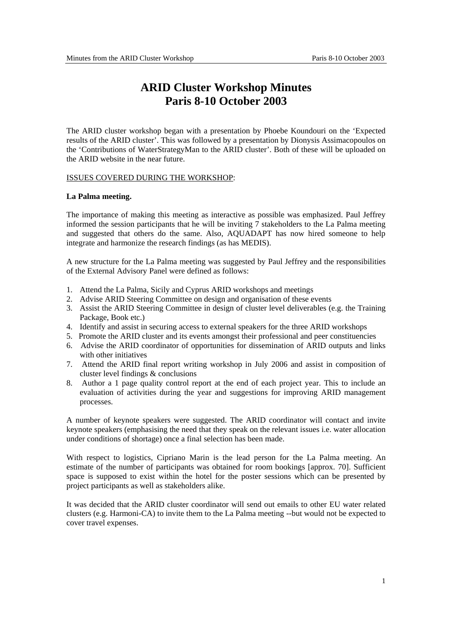## **ARID Cluster Workshop Minutes Paris 8-10 October 2003**

The ARID cluster workshop began with a presentation by Phoebe Koundouri on the 'Expected results of the ARID cluster'. This was followed by a presentation by Dionysis Assimacopoulos on the 'Contributions of WaterStrategyMan to the ARID cluster'. Both of these will be uploaded on the ARID website in the near future.

#### ISSUES COVERED DURING THE WORKSHOP:

#### **La Palma meeting.**

The importance of making this meeting as interactive as possible was emphasized. Paul Jeffrey informed the session participants that he will be inviting 7 stakeholders to the La Palma meeting and suggested that others do the same. Also, AQUADAPT has now hired someone to help integrate and harmonize the research findings (as has MEDIS).

A new structure for the La Palma meeting was suggested by Paul Jeffrey and the responsibilities of the External Advisory Panel were defined as follows:

- 1. Attend the La Palma, Sicily and Cyprus ARID workshops and meetings
- 2. Advise ARID Steering Committee on design and organisation of these events
- 3. Assist the ARID Steering Committee in design of cluster level deliverables (e.g. the Training Package, Book etc.)
- 4. Identify and assist in securing access to external speakers for the three ARID workshops
- 5. Promote the ARID cluster and its events amongst their professional and peer constituencies
- 6. Advise the ARID coordinator of opportunities for dissemination of ARID outputs and links with other initiatives
- 7. Attend the ARID final report writing workshop in July 2006 and assist in composition of cluster level findings & conclusions
- 8. Author a 1 page quality control report at the end of each project year. This to include an evaluation of activities during the year and suggestions for improving ARID management processes.

A number of keynote speakers were suggested. The ARID coordinator will contact and invite keynote speakers (emphasising the need that they speak on the relevant issues i.e. water allocation under conditions of shortage) once a final selection has been made.

With respect to logistics, Cipriano Marin is the lead person for the La Palma meeting. An estimate of the number of participants was obtained for room bookings [approx. 70]. Sufficient space is supposed to exist within the hotel for the poster sessions which can be presented by project participants as well as stakeholders alike.

It was decided that the ARID cluster coordinator will send out emails to other EU water related clusters (e.g. Harmoni-CA) to invite them to the La Palma meeting --but would not be expected to cover travel expenses.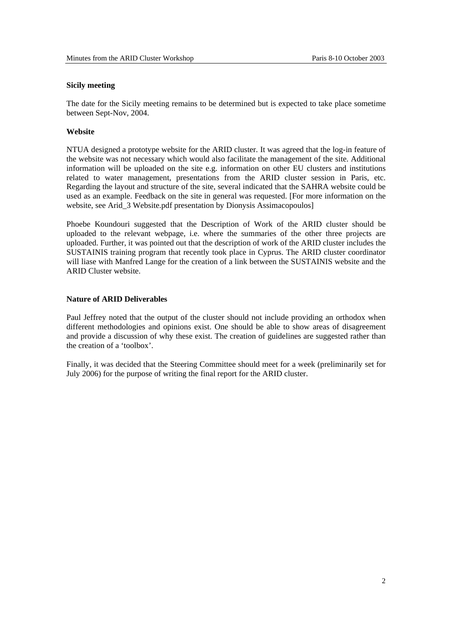#### **Sicily meeting**

The date for the Sicily meeting remains to be determined but is expected to take place sometime between Sept-Nov, 2004.

#### **Website**

NTUA designed a prototype website for the ARID cluster. It was agreed that the log-in feature of the website was not necessary which would also facilitate the management of the site. Additional information will be uploaded on the site e.g. information on other EU clusters and institutions related to water management, presentations from the ARID cluster session in Paris, etc. Regarding the layout and structure of the site, several indicated that the SAHRA website could be used as an example. Feedback on the site in general was requested. [For more information on the website, see Arid 3 Website.pdf presentation by Dionysis Assimacopoulos]

Phoebe Koundouri suggested that the Description of Work of the ARID cluster should be uploaded to the relevant webpage, i.e. where the summaries of the other three projects are uploaded. Further, it was pointed out that the description of work of the ARID cluster includes the SUSTAINIS training program that recently took place in Cyprus. The ARID cluster coordinator will liase with Manfred Lange for the creation of a link between the SUSTAINIS website and the ARID Cluster website.

#### **Nature of ARID Deliverables**

Paul Jeffrey noted that the output of the cluster should not include providing an orthodox when different methodologies and opinions exist. One should be able to show areas of disagreement and provide a discussion of why these exist. The creation of guidelines are suggested rather than the creation of a 'toolbox'.

Finally, it was decided that the Steering Committee should meet for a week (preliminarily set for July 2006) for the purpose of writing the final report for the ARID cluster.